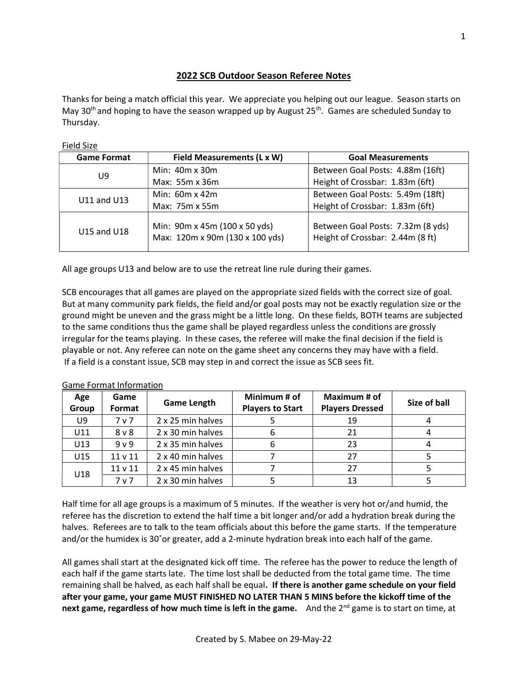# 2022 SCB Outdoor Season Referee Notes

Thanks for being a match official this year. We appreciate you helping out our league. Season starts on May 30<sup>th</sup> and hoping to have the season wrapped up by August  $25<sup>th</sup>$ . Games are scheduled Sunday to Thursday.

Field Size

| <b>Game Format</b> | Field Measurements (L x W)                                       | <b>Goal Measurements</b>                                              |  |  |
|--------------------|------------------------------------------------------------------|-----------------------------------------------------------------------|--|--|
| U9                 | Min: $40m \times 30m$                                            | Between Goal Posts: 4.88m (16ft)                                      |  |  |
|                    | Max: 55m x 36m                                                   | Height of Crossbar: 1.83m (6ft)                                       |  |  |
| U11 and U13        | Min: $60m \times 42m$                                            | Between Goal Posts: 5.49m (18ft)                                      |  |  |
|                    | Max: 75m x 55m                                                   | Height of Crossbar: 1.83m (6ft)                                       |  |  |
| U15 and U18        | Min: 90m x 45m (100 x 50 yds)<br>Max: 120m x 90m (130 x 100 yds) | Between Goal Posts: 7.32m (8 yds)<br>Height of Crossbar: 2.44m (8 ft) |  |  |

All age groups U13 and below are to use the retreat line rule during their games.

SCB encourages that all games are played on the appropriate sized fields with the correct size of goal. But at many community park fields, the field and/or goal posts may not be exactly regulation size or the ground might be uneven and the grass might be a little long. On these fields, BOTH teams are subjected to the same conditions thus the game shall be played regardless unless the conditions are grossly irregular for the teams playing. In these cases, the referee will make the final decision if the field is playable or not. Any referee can note on the game sheet any concerns they may have with a field. If a field is a constant issue, SCB may step in and correct the issue as SCB sees fit.

| Age<br>Group | Game<br>Format     | <b>Game Length</b> | Minimum # of<br><b>Players to Start</b> | Maximum # of<br><b>Players Dressed</b> | Size of ball |  |
|--------------|--------------------|--------------------|-----------------------------------------|----------------------------------------|--------------|--|
| U9           | 7 <sub>v</sub>     | 2 x 25 min halves  |                                         | 19                                     |              |  |
| U11          | 8 <sub>v</sub>     | 2 x 30 min halves  |                                         | 21                                     |              |  |
| U13          | 9 <sub>v</sub>     | 2 x 35 min halves  |                                         | 23                                     |              |  |
| U15          | 11 <sub>v</sub> 11 | 2 x 40 min halves  |                                         | 27                                     |              |  |
| U18          | 11 <sub>v</sub> 11 | 2 x 45 min halves  |                                         | 27                                     |              |  |
|              | 7 <sub>v</sub>     | 2 x 30 min halves  |                                         | 13                                     |              |  |

Game Format Information

Half time for all age groups is a maximum of 5 minutes. If the weather is very hot or/and humid, the referee has the discretion to extend the half time a bit longer and/or add a hydration break during the halves. Referees are to talk to the team officials about this before the game starts. If the temperature and/or the humidex is 30˚or greater, add a 2-minute hydration break into each half of the game.

All games shall start at the designated kick off time. The referee has the power to reduce the length of each half if the game starts late. The time lost shall be deducted from the total game time. The time remaining shall be halved, as each half shall be equal. If there is another game schedule on your field after your game, your game MUST FINISHED NO LATER THAN 5 MINS before the kickoff time of the next game, regardless of how much time is left in the game. And the  $2^{nd}$  game is to start on time, at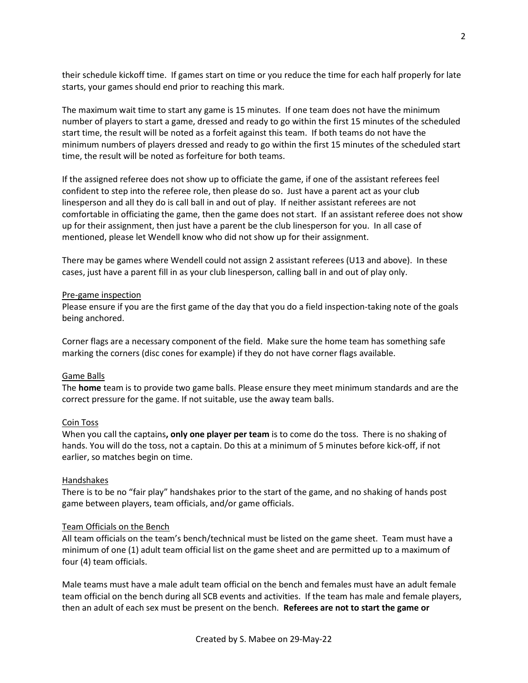their schedule kickoff time. If games start on time or you reduce the time for each half properly for late starts, your games should end prior to reaching this mark.

The maximum wait time to start any game is 15 minutes. If one team does not have the minimum number of players to start a game, dressed and ready to go within the first 15 minutes of the scheduled start time, the result will be noted as a forfeit against this team. If both teams do not have the minimum numbers of players dressed and ready to go within the first 15 minutes of the scheduled start time, the result will be noted as forfeiture for both teams.

If the assigned referee does not show up to officiate the game, if one of the assistant referees feel confident to step into the referee role, then please do so. Just have a parent act as your club linesperson and all they do is call ball in and out of play. If neither assistant referees are not comfortable in officiating the game, then the game does not start. If an assistant referee does not show up for their assignment, then just have a parent be the club linesperson for you. In all case of mentioned, please let Wendell know who did not show up for their assignment.

There may be games where Wendell could not assign 2 assistant referees (U13 and above). In these cases, just have a parent fill in as your club linesperson, calling ball in and out of play only.

## Pre-game inspection

Please ensure if you are the first game of the day that you do a field inspection-taking note of the goals being anchored.

Corner flags are a necessary component of the field. Make sure the home team has something safe marking the corners (disc cones for example) if they do not have corner flags available.

## Game Balls

The **home** team is to provide two game balls. Please ensure they meet minimum standards and are the correct pressure for the game. If not suitable, use the away team balls.

## Coin Toss

When you call the captains, only one player per team is to come do the toss. There is no shaking of hands. You will do the toss, not a captain. Do this at a minimum of 5 minutes before kick-off, if not earlier, so matches begin on time.

## Handshakes

There is to be no "fair play" handshakes prior to the start of the game, and no shaking of hands post game between players, team officials, and/or game officials.

## Team Officials on the Bench

All team officials on the team's bench/technical must be listed on the game sheet. Team must have a minimum of one (1) adult team official list on the game sheet and are permitted up to a maximum of four (4) team officials.

Male teams must have a male adult team official on the bench and females must have an adult female team official on the bench during all SCB events and activities. If the team has male and female players, then an adult of each sex must be present on the bench. Referees are not to start the game or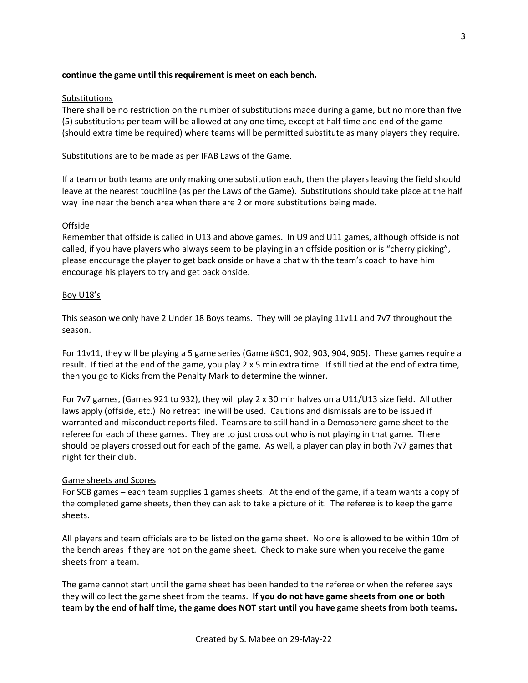## continue the game until this requirement is meet on each bench.

## Substitutions

There shall be no restriction on the number of substitutions made during a game, but no more than five (5) substitutions per team will be allowed at any one time, except at half time and end of the game (should extra time be required) where teams will be permitted substitute as many players they require.

Substitutions are to be made as per IFAB Laws of the Game.

If a team or both teams are only making one substitution each, then the players leaving the field should leave at the nearest touchline (as per the Laws of the Game). Substitutions should take place at the half way line near the bench area when there are 2 or more substitutions being made.

## **Offside**

Remember that offside is called in U13 and above games. In U9 and U11 games, although offside is not called, if you have players who always seem to be playing in an offside position or is "cherry picking", please encourage the player to get back onside or have a chat with the team's coach to have him encourage his players to try and get back onside.

## Boy U18's

This season we only have 2 Under 18 Boys teams. They will be playing 11v11 and 7v7 throughout the season.

For 11v11, they will be playing a 5 game series (Game #901, 902, 903, 904, 905). These games require a result. If tied at the end of the game, you play 2 x 5 min extra time. If still tied at the end of extra time, then you go to Kicks from the Penalty Mark to determine the winner.

For 7v7 games, (Games 921 to 932), they will play 2 x 30 min halves on a U11/U13 size field. All other laws apply (offside, etc.) No retreat line will be used. Cautions and dismissals are to be issued if warranted and misconduct reports filed. Teams are to still hand in a Demosphere game sheet to the referee for each of these games. They are to just cross out who is not playing in that game. There should be players crossed out for each of the game. As well, a player can play in both 7v7 games that night for their club.

## Game sheets and Scores

For SCB games – each team supplies 1 games sheets. At the end of the game, if a team wants a copy of the completed game sheets, then they can ask to take a picture of it. The referee is to keep the game sheets.

All players and team officials are to be listed on the game sheet. No one is allowed to be within 10m of the bench areas if they are not on the game sheet. Check to make sure when you receive the game sheets from a team.

The game cannot start until the game sheet has been handed to the referee or when the referee says they will collect the game sheet from the teams. If you do not have game sheets from one or both team by the end of half time, the game does NOT start until you have game sheets from both teams.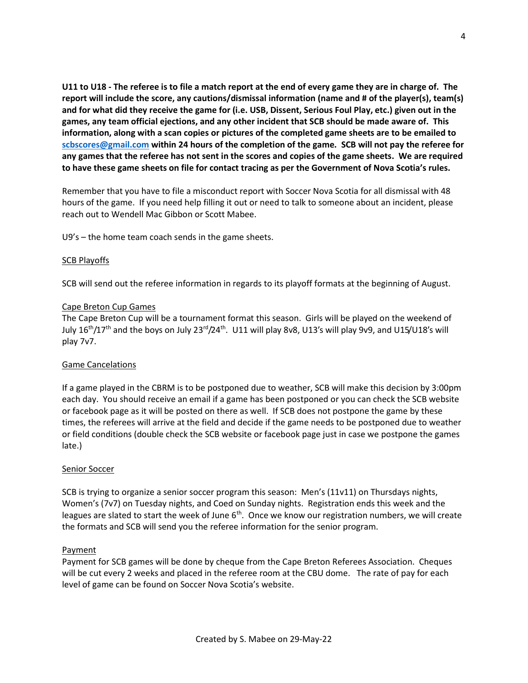U11 to U18 - The referee is to file a match report at the end of every game they are in charge of. The report will include the score, any cautions/dismissal information (name and # of the player(s), team(s) and for what did they receive the game for (i.e. USB, Dissent, Serious Foul Play, etc.) given out in the games, any team official ejections, and any other incident that SCB should be made aware of. This information, along with a scan copies or pictures of the completed game sheets are to be emailed to scbscores@gmail.com within 24 hours of the completion of the game. SCB will not pay the referee for any games that the referee has not sent in the scores and copies of the game sheets. We are required to have these game sheets on file for contact tracing as per the Government of Nova Scotia's rules.

Remember that you have to file a misconduct report with Soccer Nova Scotia for all dismissal with 48 hours of the game. If you need help filling it out or need to talk to someone about an incident, please reach out to Wendell Mac Gibbon or Scott Mabee.

U9's – the home team coach sends in the game sheets.

## SCB Playoffs

SCB will send out the referee information in regards to its playoff formats at the beginning of August.

## Cape Breton Cup Games

The Cape Breton Cup will be a tournament format this season. Girls will be played on the weekend of July  $16<sup>th</sup>/17<sup>th</sup>$  and the boys on July 23<sup>rd</sup>/24<sup>th</sup>. U11 will play 8v8, U13's will play 9v9, and U15/U18's will play 7v7.

## Game Cancelations

If a game played in the CBRM is to be postponed due to weather, SCB will make this decision by 3:00pm each day. You should receive an email if a game has been postponed or you can check the SCB website or facebook page as it will be posted on there as well. If SCB does not postpone the game by these times, the referees will arrive at the field and decide if the game needs to be postponed due to weather or field conditions (double check the SCB website or facebook page just in case we postpone the games late.)

## Senior Soccer

SCB is trying to organize a senior soccer program this season: Men's (11v11) on Thursdays nights, Women's (7v7) on Tuesday nights, and Coed on Sunday nights. Registration ends this week and the leagues are slated to start the week of June  $6<sup>th</sup>$ . Once we know our registration numbers, we will create the formats and SCB will send you the referee information for the senior program.

## **Payment**

Payment for SCB games will be done by cheque from the Cape Breton Referees Association. Cheques will be cut every 2 weeks and placed in the referee room at the CBU dome. The rate of pay for each level of game can be found on Soccer Nova Scotia's website.

4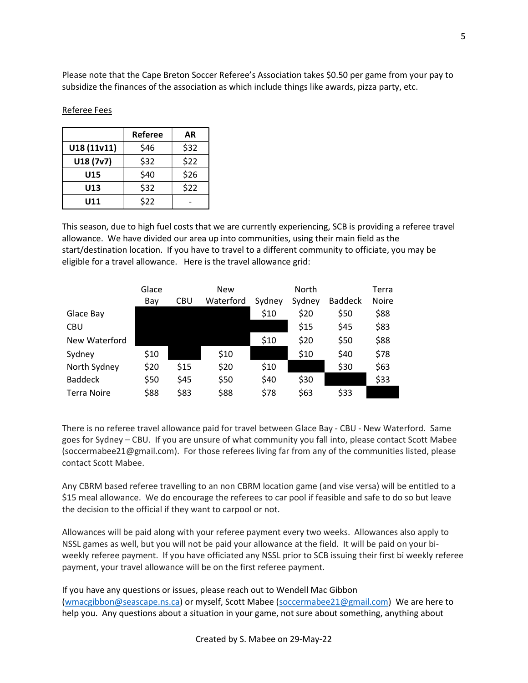Please note that the Cape Breton Soccer Referee's Association takes \$0.50 per game from your pay to subsidize the finances of the association as which include things like awards, pizza party, etc.

|             | Referee | AR   |
|-------------|---------|------|
| U18 (11v11) | \$46    | \$32 |
| U18(7v7)    | \$32    | \$22 |
| U15         | \$40    | \$26 |
| U13         | \$32    | \$22 |
| U11         | \$22    |      |

Referee Fees

This season, due to high fuel costs that we are currently experiencing, SCB is providing a referee travel allowance. We have divided our area up into communities, using their main field as the start/destination location. If you have to travel to a different community to officiate, you may be eligible for a travel allowance. Here is the travel allowance grid:

|                    | Glace |      | <b>New</b> |        | North  |                | Terra        |
|--------------------|-------|------|------------|--------|--------|----------------|--------------|
|                    | Bay   | CBU  | Waterford  | Sydney | Sydney | <b>Baddeck</b> | <b>Noire</b> |
| Glace Bay          |       |      |            | \$10   | \$20   | \$50           | \$88         |
| <b>CBU</b>         |       |      |            |        | \$15   | \$45           | \$83         |
| New Waterford      |       |      |            | \$10   | \$20   | \$50           | \$88         |
| Sydney             | \$10  |      | \$10       |        | \$10   | \$40           | \$78         |
| North Sydney       | \$20  | \$15 | \$20       | \$10   |        | \$30           | \$63         |
| <b>Baddeck</b>     | \$50  | \$45 | \$50       | \$40   | \$30   |                | \$33         |
| <b>Terra Noire</b> | \$88  | \$83 | \$88       | \$78   | \$63   | \$33           |              |

There is no referee travel allowance paid for travel between Glace Bay - CBU - New Waterford. Same goes for Sydney – CBU. If you are unsure of what community you fall into, please contact Scott Mabee (soccermabee21@gmail.com). For those referees living far from any of the communities listed, please contact Scott Mabee.

Any CBRM based referee travelling to an non CBRM location game (and vise versa) will be entitled to a \$15 meal allowance. We do encourage the referees to car pool if feasible and safe to do so but leave the decision to the official if they want to carpool or not.

Allowances will be paid along with your referee payment every two weeks. Allowances also apply to NSSL games as well, but you will not be paid your allowance at the field. It will be paid on your biweekly referee payment. If you have officiated any NSSL prior to SCB issuing their first bi weekly referee payment, your travel allowance will be on the first referee payment.

If you have any questions or issues, please reach out to Wendell Mac Gibbon (wmacgibbon@seascape.ns.ca) or myself, Scott Mabee (soccermabee21@gmail.com) We are here to help you. Any questions about a situation in your game, not sure about something, anything about